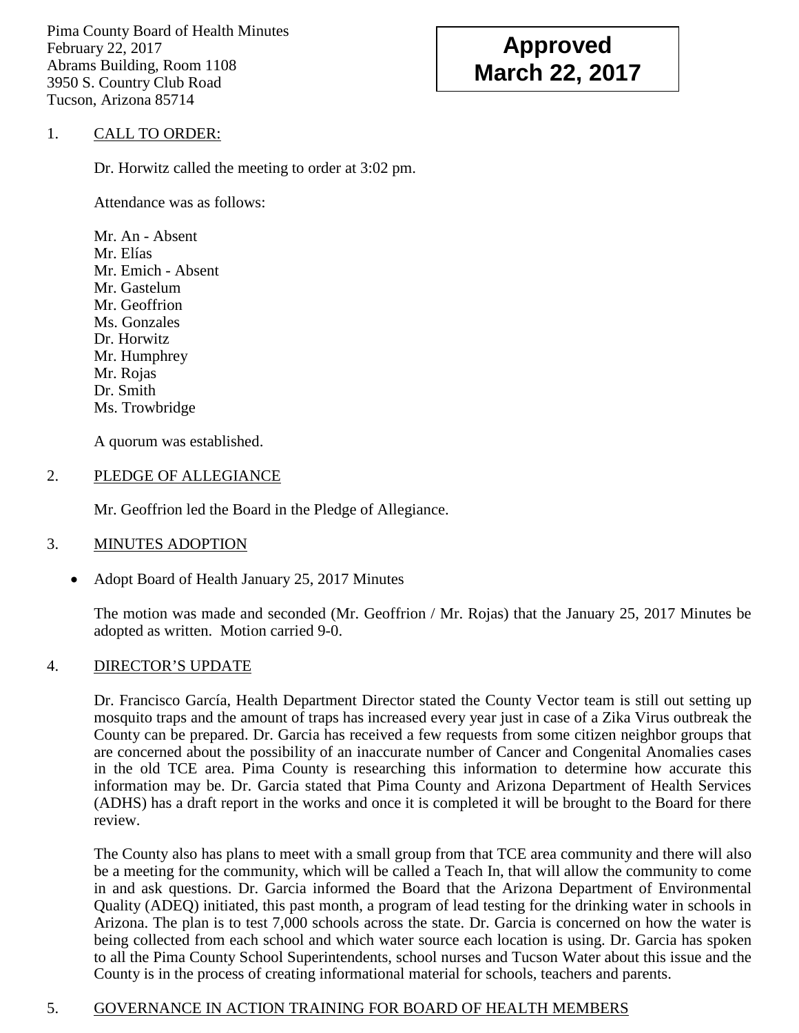Pima County Board of Health Minutes February 22, 2017 Abrams Building, Room 1108 3950 S. Country Club Road Tucson, Arizona 85714

# **Approved March 22, 2017**

# 1. CALL TO ORDER:

Dr. Horwitz called the meeting to order at 3:02 pm.

Attendance was as follows:

Mr. An - Absent Mr. Elías Mr. Emich - Absent Mr. Gastelum Mr. Geoffrion Ms. Gonzales Dr. Horwitz Mr. Humphrey Mr. Rojas Dr. Smith Ms. Trowbridge

A quorum was established.

## 2. PLEDGE OF ALLEGIANCE

Mr. Geoffrion led the Board in the Pledge of Allegiance.

## 3. MINUTES ADOPTION

• Adopt Board of Health January 25, 2017 Minutes

The motion was made and seconded (Mr. Geoffrion / Mr. Rojas) that the January 25, 2017 Minutes be adopted as written. Motion carried 9-0.

## 4. DIRECTOR'S UPDATE

Dr. Francisco García, Health Department Director stated the County Vector team is still out setting up mosquito traps and the amount of traps has increased every year just in case of a Zika Virus outbreak the County can be prepared. Dr. Garcia has received a few requests from some citizen neighbor groups that are concerned about the possibility of an inaccurate number of Cancer and Congenital Anomalies cases in the old TCE area. Pima County is researching this information to determine how accurate this information may be. Dr. Garcia stated that Pima County and Arizona Department of Health Services (ADHS) has a draft report in the works and once it is completed it will be brought to the Board for there review.

The County also has plans to meet with a small group from that TCE area community and there will also be a meeting for the community, which will be called a Teach In, that will allow the community to come in and ask questions. Dr. Garcia informed the Board that the Arizona Department of Environmental Quality (ADEQ) initiated, this past month, a program of lead testing for the drinking water in schools in Arizona. The plan is to test 7,000 schools across the state. Dr. Garcia is concerned on how the water is being collected from each school and which water source each location is using. Dr. Garcia has spoken to all the Pima County School Superintendents, school nurses and Tucson Water about this issue and the County is in the process of creating informational material for schools, teachers and parents.

# 5. GOVERNANCE IN ACTION TRAINING FOR BOARD OF HEALTH MEMBERS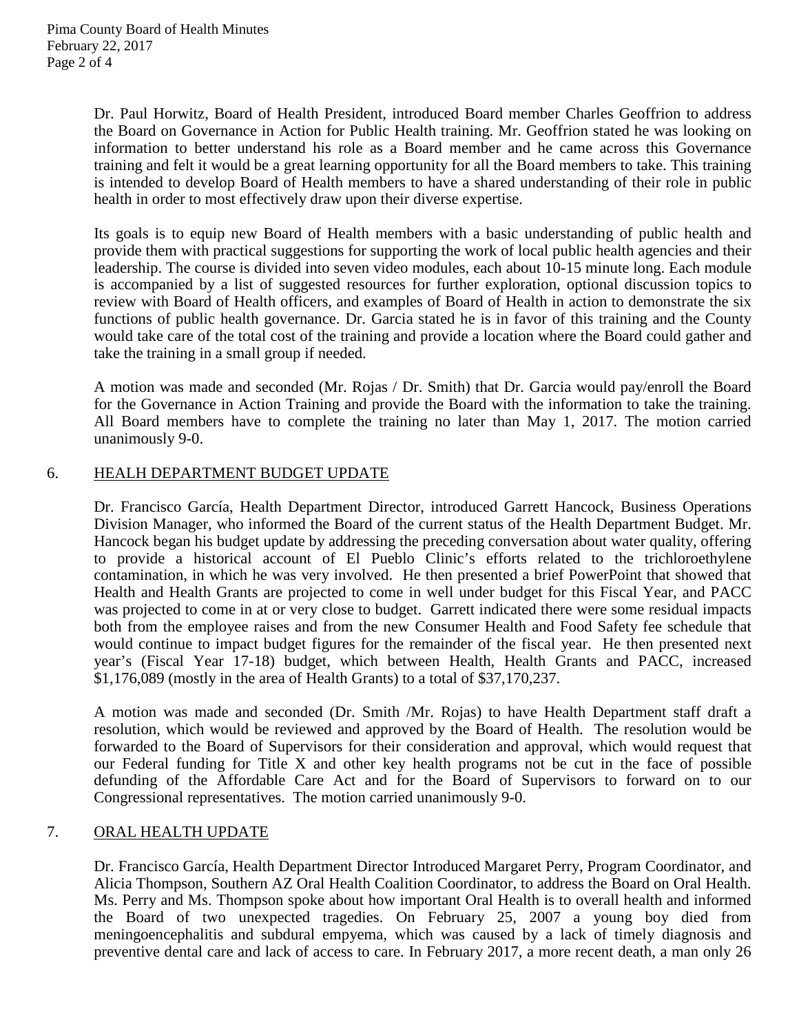Dr. Paul Horwitz, Board of Health President, introduced Board member Charles Geoffrion to address the Board on Governance in Action for Public Health training. Mr. Geoffrion stated he was looking on information to better understand his role as a Board member and he came across this Governance training and felt it would be a great learning opportunity for all the Board members to take. This training is intended to develop Board of Health members to have a shared understanding of their role in public health in order to most effectively draw upon their diverse expertise.

Its goals is to equip new Board of Health members with a basic understanding of public health and provide them with practical suggestions for supporting the work of local public health agencies and their leadership. The course is divided into seven video modules, each about 10-15 minute long. Each module is accompanied by a list of suggested resources for further exploration, optional discussion topics to review with Board of Health officers, and examples of Board of Health in action to demonstrate the six functions of public health governance. Dr. Garcia stated he is in favor of this training and the County would take care of the total cost of the training and provide a location where the Board could gather and take the training in a small group if needed.

A motion was made and seconded (Mr. Rojas / Dr. Smith) that Dr. Garcia would pay/enroll the Board for the Governance in Action Training and provide the Board with the information to take the training. All Board members have to complete the training no later than May 1, 2017. The motion carried unanimously 9-0.

#### 6. HEALH DEPARTMENT BUDGET UPDATE

Dr. Francisco García, Health Department Director, introduced Garrett Hancock, Business Operations Division Manager, who informed the Board of the current status of the Health Department Budget. Mr. Hancock began his budget update by addressing the preceding conversation about water quality, offering to provide a historical account of El Pueblo Clinic's efforts related to the trichloroethylene contamination, in which he was very involved. He then presented a brief PowerPoint that showed that Health and Health Grants are projected to come in well under budget for this Fiscal Year, and PACC was projected to come in at or very close to budget. Garrett indicated there were some residual impacts both from the employee raises and from the new Consumer Health and Food Safety fee schedule that would continue to impact budget figures for the remainder of the fiscal year. He then presented next year's (Fiscal Year 17-18) budget, which between Health, Health Grants and PACC, increased \$1,176,089 (mostly in the area of Health Grants) to a total of \$37,170,237.

A motion was made and seconded (Dr. Smith /Mr. Rojas) to have Health Department staff draft a resolution, which would be reviewed and approved by the Board of Health. The resolution would be forwarded to the Board of Supervisors for their consideration and approval, which would request that our Federal funding for Title X and other key health programs not be cut in the face of possible defunding of the Affordable Care Act and for the Board of Supervisors to forward on to our Congressional representatives. The motion carried unanimously 9-0.

## 7. ORAL HEALTH UPDATE

Dr. Francisco García, Health Department Director Introduced Margaret Perry, Program Coordinator, and Alicia Thompson, Southern AZ Oral Health Coalition Coordinator, to address the Board on Oral Health. Ms. Perry and Ms. Thompson spoke about how important Oral Health is to overall health and informed the Board of two unexpected tragedies. On February 25, 2007 a young boy died from meningoencephalitis and subdural empyema, which was caused by a lack of timely diagnosis and preventive dental care and lack of access to care. In February 2017, a more recent death, a man only 26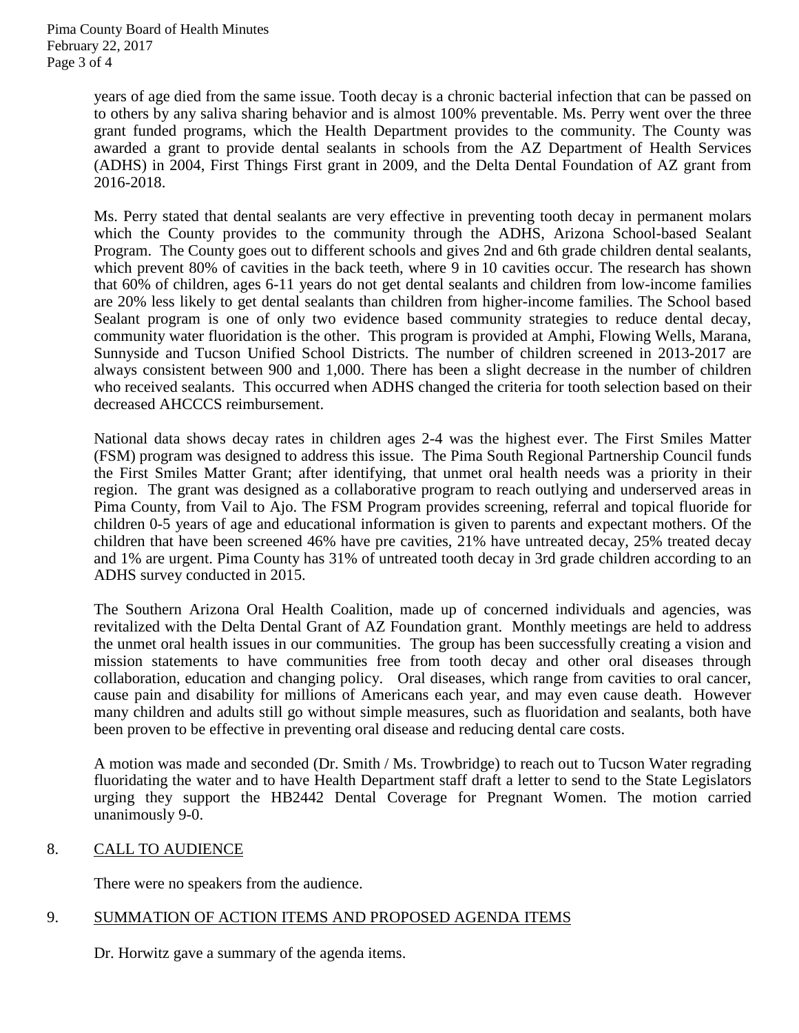years of age died from the same issue. Tooth decay is a chronic bacterial infection that can be passed on to others by any saliva sharing behavior and is almost 100% preventable. Ms. Perry went over the three grant funded programs, which the Health Department provides to the community. The County was awarded a grant to provide dental sealants in schools from the AZ Department of Health Services (ADHS) in 2004, First Things First grant in 2009, and the Delta Dental Foundation of AZ grant from 2016-2018.

Ms. Perry stated that dental sealants are very effective in preventing tooth decay in permanent molars which the County provides to the community through the ADHS, Arizona School-based Sealant Program. The County goes out to different schools and gives 2nd and 6th grade children dental sealants, which prevent 80% of cavities in the back teeth, where 9 in 10 cavities occur. The research has shown that 60% of children, ages 6-11 years do not get dental sealants and children from low-income families are 20% less likely to get dental sealants than children from higher-income families. The School based Sealant program is one of only two evidence based community strategies to reduce dental decay, community water fluoridation is the other. This program is provided at Amphi, Flowing Wells, Marana, Sunnyside and Tucson Unified School Districts. The number of children screened in 2013-2017 are always consistent between 900 and 1,000. There has been a slight decrease in the number of children who received sealants. This occurred when ADHS changed the criteria for tooth selection based on their decreased AHCCCS reimbursement.

National data shows decay rates in children ages 2-4 was the highest ever. The First Smiles Matter (FSM) program was designed to address this issue. The Pima South Regional Partnership Council funds the First Smiles Matter Grant; after identifying, that unmet oral health needs was a priority in their region. The grant was designed as a collaborative program to reach outlying and underserved areas in Pima County, from Vail to Ajo. The FSM Program provides screening, referral and topical fluoride for children 0-5 years of age and educational information is given to parents and expectant mothers. Of the children that have been screened 46% have pre cavities, 21% have untreated decay, 25% treated decay and 1% are urgent. Pima County has 31% of untreated tooth decay in 3rd grade children according to an ADHS survey conducted in 2015.

The Southern Arizona Oral Health Coalition, made up of concerned individuals and agencies, was revitalized with the Delta Dental Grant of AZ Foundation grant. Monthly meetings are held to address the unmet oral health issues in our communities. The group has been successfully creating a vision and mission statements to have communities free from tooth decay and other oral diseases through collaboration, education and changing policy. Oral diseases, which range from cavities to oral cancer, cause pain and disability for millions of Americans each year, and may even cause death. However many children and adults still go without simple measures, such as fluoridation and sealants, both have been proven to be effective in preventing oral disease and reducing dental care costs.

A motion was made and seconded (Dr. Smith / Ms. Trowbridge) to reach out to Tucson Water regrading fluoridating the water and to have Health Department staff draft a letter to send to the State Legislators urging they support the HB2442 Dental Coverage for Pregnant Women. The motion carried unanimously 9-0.

# 8. CALL TO AUDIENCE

There were no speakers from the audience.

# 9. SUMMATION OF ACTION ITEMS AND PROPOSED AGENDA ITEMS

Dr. Horwitz gave a summary of the agenda items.